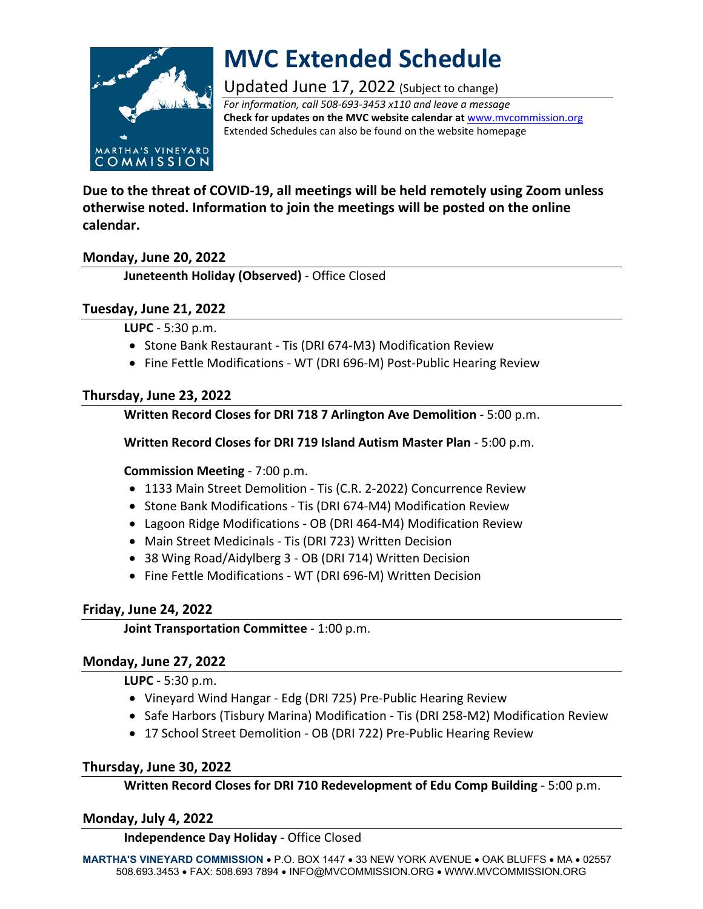

# **MVC Extended Schedule**

Updated June 17, 2022 (Subject to change)

*For information, call 508-693-3453 x110 and leave a message* **Check for updates on the MVC website calendar at** [www.mvcommission.org](http://www.mvcommission.org/) Extended Schedules can also be found on the website homepage

**Due to the threat of COVID-19, all meetings will be held remotely using Zoom unless otherwise noted. Information to join the meetings will be posted on the online calendar.**

# **Monday, June 20, 2022**

**Juneteenth Holiday (Observed)** - Office Closed

# **Tuesday, June 21, 2022**

**LUPC** - 5:30 p.m.

- Stone Bank Restaurant Tis (DRI 674-M3) Modification Review
- Fine Fettle Modifications WT (DRI 696-M) Post-Public Hearing Review

# **Thursday, June 23, 2022**

**Written Record Closes for DRI 718 7 Arlington Ave Demolition** - 5:00 p.m.

**Written Record Closes for DRI 719 Island Autism Master Plan** - 5:00 p.m.

### **Commission Meeting** - 7:00 p.m.

- 1133 Main Street Demolition Tis (C.R. 2-2022) Concurrence Review
- Stone Bank Modifications Tis (DRI 674-M4) Modification Review
- Lagoon Ridge Modifications OB (DRI 464-M4) Modification Review
- Main Street Medicinals Tis (DRI 723) Written Decision
- 38 Wing Road/Aidylberg 3 OB (DRI 714) Written Decision
- Fine Fettle Modifications WT (DRI 696-M) Written Decision

# **Friday, June 24, 2022**

**Joint Transportation Committee** - 1:00 p.m.

### **Monday, June 27, 2022**

**LUPC** - 5:30 p.m.

- Vineyard Wind Hangar Edg (DRI 725) Pre-Public Hearing Review
- Safe Harbors (Tisbury Marina) Modification Tis (DRI 258-M2) Modification Review
- 17 School Street Demolition OB (DRI 722) Pre-Public Hearing Review

# **Thursday, June 30, 2022**

**Written Record Closes for DRI 710 Redevelopment of Edu Comp Building** - 5:00 p.m.

### **Monday, July 4, 2022**

**Independence Day Holiday** - Office Closed